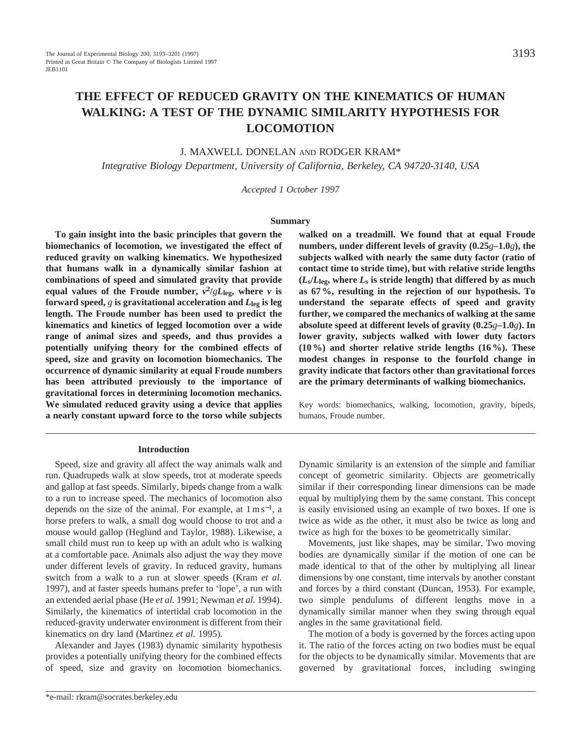# **THE EFFECT OF REDUCED GRAVITY ON THE KINEMATICS OF HUMAN WALKING: A TEST OF THE DYNAMIC SIMILARITY HYPOTHESIS FOR LOCOMOTION**

# J. MAXWELL DONELAN AND RODGER KRAM\*

*Integrative Biology Department, University of California, Berkeley, CA 94720-3140, USA*

*Accepted 1 October 1997*

#### **Summary**

**To gain insight into the basic principles that govern the biomechanics of locomotion, we investigated the effect of reduced gravity on walking kinematics. We hypothesized that humans walk in a dynamically similar fashion at combinations of speed and simulated gravity that provide** equal values of the Froude number,  $v^2/gL_{\text{leg}}$ , where *v* is **forward speed,**  $g$  **is gravitational acceleration and**  $L_{\text{leg}}$  **is leg length. The Froude number has been used to predict the kinematics and kinetics of legged locomotion over a wide range of animal sizes and speeds, and thus provides a potentially unifying theory for the combined effects of speed, size and gravity on locomotion biomechanics. The occurrence of dynamic similarity at equal Froude numbers has been attributed previously to the importance of gravitational forces in determining locomotion mechanics. We simulated reduced gravity using a device that applies a nearly constant upward force to the torso while subjects**

#### **Introduction**

Speed, size and gravity all affect the way animals walk and run. Quadrupeds walk at slow speeds, trot at moderate speeds and gallop at fast speeds. Similarly, bipeds change from a walk to a run to increase speed. The mechanics of locomotion also depends on the size of the animal. For example, at  $1 \text{ m s}^{-1}$ , a horse prefers to walk, a small dog would choose to trot and a mouse would gallop (Heglund and Taylor, 1988). Likewise, a small child must run to keep up with an adult who is walking at a comfortable pace. Animals also adjust the way they move under different levels of gravity. In reduced gravity, humans switch from a walk to a run at slower speeds (Kram *et al.* 1997), and at faster speeds humans prefer to 'lope', a run with an extended aerial phase (He *et al.* 1991; Newman *et al.* 1994). Similarly, the kinematics of intertidal crab locomotion in the reduced-gravity underwater environment is different from their kinematics on dry land (Martinez *et al.* 1995).

Alexander and Jayes (1983) dynamic similarity hypothesis provides a potentially unifying theory for the combined effects of speed, size and gravity on locomotion biomechanics.

**walked on a treadmill. We found that at equal Froude numbers, under different levels of gravity (0.25***g***–1.0***g***), the subjects walked with nearly the same duty factor (ratio of contact time to stride time), but with relative stride lengths**  $(L_s/L_{\text{leg}}$ , where  $L_s$  is stride length) that differed by as much **as 67 %, resulting in the rejection of our hypothesis. To understand the separate effects of speed and gravity further, we compared the mechanics of walking at the same absolute speed at different levels of gravity (0.25***g***–1.0***g***). In lower gravity, subjects walked with lower duty factors (10 %) and shorter relative stride lengths (16 %). These modest changes in response to the fourfold change in gravity indicate that factors other than gravitational forces are the primary determinants of walking biomechanics.**

Key words: biomechanics, walking, locomotion, gravity, bipeds, humans, Froude number.

Dynamic similarity is an extension of the simple and familiar concept of geometric similarity. Objects are geometrically similar if their corresponding linear dimensions can be made equal by multiplying them by the same constant. This concept is easily envisioned using an example of two boxes. If one is twice as wide as the other, it must also be twice as long and twice as high for the boxes to be geometrically similar.

Movements, just like shapes, may be similar. Two moving bodies are dynamically similar if the motion of one can be made identical to that of the other by multiplying all linear dimensions by one constant, time intervals by another constant and forces by a third constant (Duncan, 1953). For example, two simple pendulums of different lengths move in a dynamically similar manner when they swing through equal angles in the same gravitational field.

The motion of a body is governed by the forces acting upon it. The ratio of the forces acting on two bodies must be equal for the objects to be dynamically similar. Movements that are governed by gravitational forces, including swinging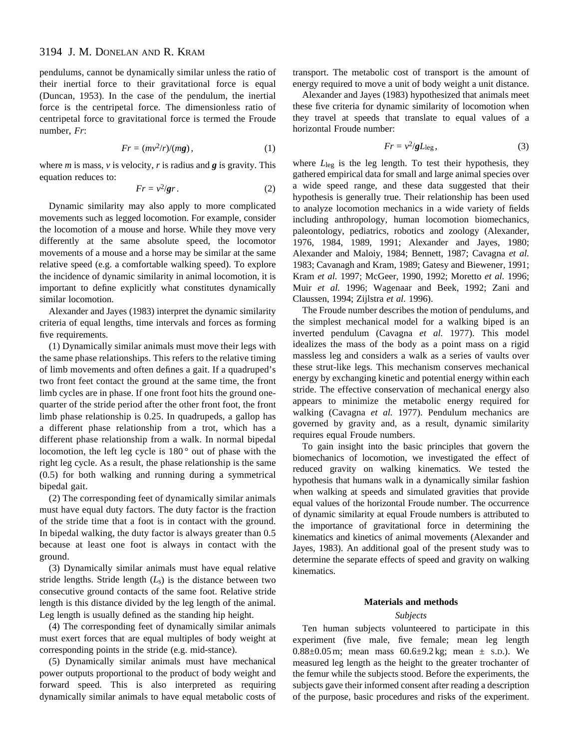# 3194 J. M. DONELAN AND R. KRAM

pendulums, cannot be dynamically similar unless the ratio of their inertial force to their gravitational force is equal (Duncan, 1953). In the case of the pendulum, the inertial force is the centripetal force. The dimensionless ratio of centripetal force to gravitational force is termed the Froude number, *Fr*:

$$
Fr = (mv^2/r)/(mg), \qquad (1)
$$

where *m* is mass, *v* is velocity, *r* is radius and *g* is gravity. This equation reduces to:

$$
Fr = v^2 / gr. \tag{2}
$$

Dynamic similarity may also apply to more complicated movements such as legged locomotion. For example, consider the locomotion of a mouse and horse. While they move very differently at the same absolute speed, the locomotor movements of a mouse and a horse may be similar at the same relative speed (e.g. a comfortable walking speed). To explore the incidence of dynamic similarity in animal locomotion, it is important to define explicitly what constitutes dynamically similar locomotion.

Alexander and Jayes (1983) interpret the dynamic similarity criteria of equal lengths, time intervals and forces as forming five requirements.

(1) Dynamically similar animals must move their legs with the same phase relationships. This refers to the relative timing of limb movements and often defines a gait. If a quadruped's two front feet contact the ground at the same time, the front limb cycles are in phase. If one front foot hits the ground onequarter of the stride period after the other front foot, the front limb phase relationship is 0.25. In quadrupeds, a gallop has a different phase relationship from a trot, which has a different phase relationship from a walk. In normal bipedal locomotion, the left leg cycle is 180 ° out of phase with the right leg cycle. As a result, the phase relationship is the same (0.5) for both walking and running during a symmetrical bipedal gait.

(2) The corresponding feet of dynamically similar animals must have equal duty factors. The duty factor is the fraction of the stride time that a foot is in contact with the ground. In bipedal walking, the duty factor is always greater than 0.5 because at least one foot is always in contact with the ground.

(3) Dynamically similar animals must have equal relative stride lengths. Stride length  $(L<sub>s</sub>)$  is the distance between two consecutive ground contacts of the same foot. Relative stride length is this distance divided by the leg length of the animal. Leg length is usually defined as the standing hip height.

(4) The corresponding feet of dynamically similar animals must exert forces that are equal multiples of body weight at corresponding points in the stride (e.g. mid-stance).

(5) Dynamically similar animals must have mechanical power outputs proportional to the product of body weight and forward speed. This is also interpreted as requiring dynamically similar animals to have equal metabolic costs of transport. The metabolic cost of transport is the amount of energy required to move a unit of body weight a unit distance.

Alexander and Jayes (1983) hypothesized that animals meet these five criteria for dynamic similarity of locomotion when they travel at speeds that translate to equal values of a horizontal Froude number:

$$
Fr = v^2 / gL_{\text{leg}}\,,\tag{3}
$$

where *L*leg is the leg length. To test their hypothesis, they gathered empirical data for small and large animal species over a wide speed range, and these data suggested that their hypothesis is generally true. Their relationship has been used to analyze locomotion mechanics in a wide variety of fields including anthropology, human locomotion biomechanics, paleontology, pediatrics, robotics and zoology (Alexander, 1976, 1984, 1989, 1991; Alexander and Jayes, 1980; Alexander and Maloiy, 1984; Bennett, 1987; Cavagna *et al.* 1983; Cavanagh and Kram, 1989; Gatesy and Biewener, 1991; Kram *et al.* 1997; McGeer, 1990, 1992; Moretto *et al.* 1996; Muir *et al.* 1996; Wagenaar and Beek, 1992; Zani and Claussen, 1994; Zijlstra *et al.* 1996).

The Froude number describes the motion of pendulums, and the simplest mechanical model for a walking biped is an inverted pendulum (Cavagna *et al.* 1977). This model idealizes the mass of the body as a point mass on a rigid massless leg and considers a walk as a series of vaults over these strut-like legs. This mechanism conserves mechanical energy by exchanging kinetic and potential energy within each stride. The effective conservation of mechanical energy also appears to minimize the metabolic energy required for walking (Cavagna *et al.* 1977). Pendulum mechanics are governed by gravity and, as a result, dynamic similarity requires equal Froude numbers.

To gain insight into the basic principles that govern the biomechanics of locomotion, we investigated the effect of reduced gravity on walking kinematics. We tested the hypothesis that humans walk in a dynamically similar fashion when walking at speeds and simulated gravities that provide equal values of the horizontal Froude number. The occurrence of dynamic similarity at equal Froude numbers is attributed to the importance of gravitational force in determining the kinematics and kinetics of animal movements (Alexander and Jayes, 1983). An additional goal of the present study was to determine the separate effects of speed and gravity on walking kinematics.

#### **Materials and methods**

## *Subjects*

Ten human subjects volunteered to participate in this experiment (five male, five female; mean leg length 0.88 $\pm$ 0.05 m; mean mass 60.6 $\pm$ 9.2 kg; mean  $\pm$  s.p.). We measured leg length as the height to the greater trochanter of the femur while the subjects stood. Before the experiments, the subjects gave their informed consent after reading a description of the purpose, basic procedures and risks of the experiment.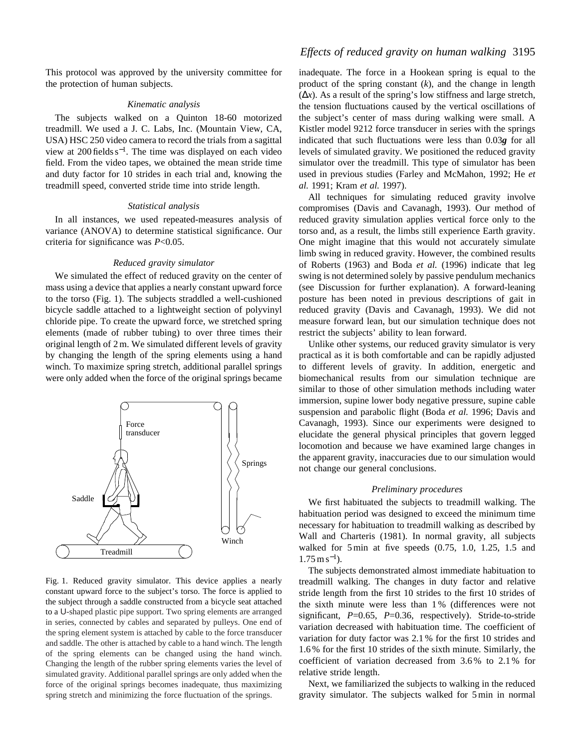This protocol was approved by the university committee for the protection of human subjects.

#### *Kinematic analysis*

The subjects walked on a Quinton 18-60 motorized treadmill. We used a J. C. Labs, Inc. (Mountain View, CA, USA) HSC 250 video camera to record the trials from a sagittal view at 200 fields  $s^{-1}$ . The time was displayed on each video field. From the video tapes, we obtained the mean stride time and duty factor for 10 strides in each trial and, knowing the treadmill speed, converted stride time into stride length.

#### *Statistical analysis*

In all instances, we used repeated-measures analysis of variance (ANOVA) to determine statistical significance. Our criteria for significance was *P*<0.05.

#### *Reduced gravity simulator*

We simulated the effect of reduced gravity on the center of mass using a device that applies a nearly constant upward force to the torso (Fig. 1). The subjects straddled a well-cushioned bicycle saddle attached to a lightweight section of polyvinyl chloride pipe. To create the upward force, we stretched spring elements (made of rubber tubing) to over three times their original length of 2 m. We simulated different levels of gravity by changing the length of the spring elements using a hand winch. To maximize spring stretch, additional parallel springs were only added when the force of the original springs became



Fig. 1. Reduced gravity simulator. This device applies a nearly constant upward force to the subject's torso. The force is applied to the subject through a saddle constructed from a bicycle seat attached to a U-shaped plastic pipe support. Two spring elements are arranged in series, connected by cables and separated by pulleys. One end of the spring element system is attached by cable to the force transducer and saddle. The other is attached by cable to a hand winch. The length of the spring elements can be changed using the hand winch. Changing the length of the rubber spring elements varies the level of simulated gravity. Additional parallel springs are only added when the force of the original springs becomes inadequate, thus maximizing spring stretch and minimizing the force fluctuation of the springs.

inadequate. The force in a Hookean spring is equal to the product of the spring constant (*k*), and the change in length  $(\Delta x)$ . As a result of the spring's low stiffness and large stretch, the tension fluctuations caused by the vertical oscillations of the subject's center of mass during walking were small. A Kistler model 9212 force transducer in series with the springs indicated that such fluctuations were less than 0.03*g* for all levels of simulated gravity. We positioned the reduced gravity simulator over the treadmill. This type of simulator has been used in previous studies (Farley and McMahon, 1992; He *et al.* 1991; Kram *et al.* 1997).

All techniques for simulating reduced gravity involve compromises (Davis and Cavanagh, 1993). Our method of reduced gravity simulation applies vertical force only to the torso and, as a result, the limbs still experience Earth gravity. One might imagine that this would not accurately simulate limb swing in reduced gravity. However, the combined results of Roberts (1963) and Boda *et al.* (1996) indicate that leg swing is not determined solely by passive pendulum mechanics (see Discussion for further explanation). A forward-leaning posture has been noted in previous descriptions of gait in reduced gravity (Davis and Cavanagh, 1993). We did not measure forward lean, but our simulation technique does not restrict the subjects' ability to lean forward.

Unlike other systems, our reduced gravity simulator is very practical as it is both comfortable and can be rapidly adjusted to different levels of gravity. In addition, energetic and biomechanical results from our simulation technique are similar to those of other simulation methods including water immersion, supine lower body negative pressure, supine cable suspension and parabolic flight (Boda *et al.* 1996; Davis and Cavanagh, 1993). Since our experiments were designed to elucidate the general physical principles that govern legged locomotion and because we have examined large changes in the apparent gravity, inaccuracies due to our simulation would not change our general conclusions.

### *Preliminary procedures*

We first habituated the subjects to treadmill walking. The habituation period was designed to exceed the minimum time necessary for habituation to treadmill walking as described by Wall and Charteris (1981). In normal gravity, all subjects walked for 5 min at five speeds (0.75, 1.0, 1.25, 1.5 and  $1.75 \,\mathrm{m\,s^{-1}}$ ).

The subjects demonstrated almost immediate habituation to treadmill walking. The changes in duty factor and relative stride length from the first 10 strides to the first 10 strides of the sixth minute were less than 1 % (differences were not significant, *P*=0.65, *P*=0.36, respectively). Stride-to-stride variation decreased with habituation time. The coefficient of variation for duty factor was 2.1 % for the first 10 strides and 1.6 % for the first 10 strides of the sixth minute. Similarly, the coefficient of variation decreased from 3.6 % to 2.1 % for relative stride length.

Next, we familiarized the subjects to walking in the reduced gravity simulator. The subjects walked for 5 min in normal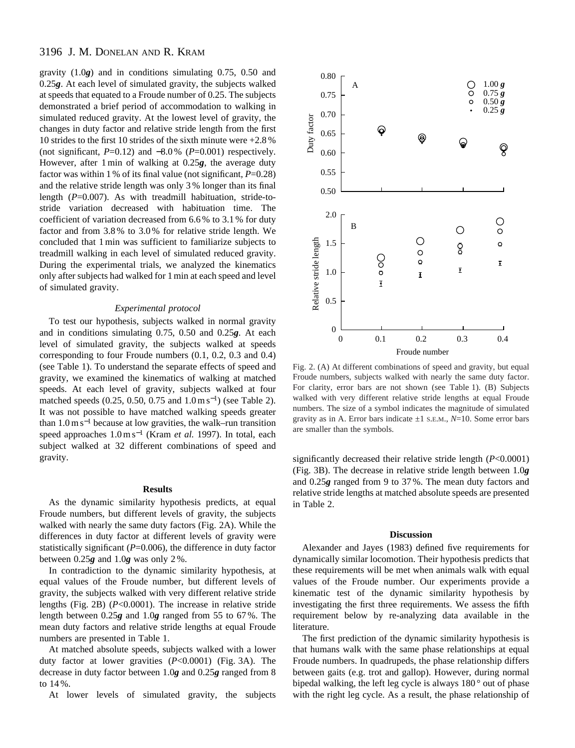# 3196 J. M. DONELAN AND R. KRAM

gravity (1.0*g*) and in conditions simulating 0.75, 0.50 and 0.25*g*. At each level of simulated gravity, the subjects walked at speeds that equated to a Froude number of 0.25. The subjects demonstrated a brief period of accommodation to walking in simulated reduced gravity. At the lowest level of gravity, the changes in duty factor and relative stride length from the first 10 strides to the first 10 strides of the sixth minute were +2.8 % (not significant,  $P=0.12$ ) and  $-8.0\%$  ( $P=0.001$ ) respectively. However, after 1 min of walking at 0.25*g*, the average duty factor was within 1 % of its final value (not significant, *P*=0.28) and the relative stride length was only 3 % longer than its final length (*P*=0.007). As with treadmill habituation, stride-tostride variation decreased with habituation time. The coefficient of variation decreased from 6.6 % to 3.1 % for duty factor and from 3.8 % to 3.0 % for relative stride length. We concluded that 1 min was sufficient to familiarize subjects to treadmill walking in each level of simulated reduced gravity. During the experimental trials, we analyzed the kinematics only after subjects had walked for 1 min at each speed and level of simulated gravity.

#### *Experimental protocol*

To test our hypothesis, subjects walked in normal gravity and in conditions simulating 0.75, 0.50 and 0.25*g*. At each level of simulated gravity, the subjects walked at speeds corresponding to four Froude numbers (0.1, 0.2, 0.3 and 0.4) (see Table 1). To understand the separate effects of speed and gravity, we examined the kinematics of walking at matched speeds. At each level of gravity, subjects walked at four matched speeds (0.25, 0.50, 0.75 and 1.0 m s<sup>-1</sup>) (see Table 2). It was not possible to have matched walking speeds greater than  $1.0 \text{ m s}^{-1}$  because at low gravities, the walk–run transition speed approaches 1.0 m s−<sup>1</sup> (Kram *et al.* 1997). In total, each subject walked at 32 different combinations of speed and gravity.

# **Results**

As the dynamic similarity hypothesis predicts, at equal Froude numbers, but different levels of gravity, the subjects walked with nearly the same duty factors (Fig. 2A). While the differences in duty factor at different levels of gravity were statistically significant (*P*=0.006), the difference in duty factor between 0.25*g* and 1.0*g* was only 2 %.

In contradiction to the dynamic similarity hypothesis, at equal values of the Froude number, but different levels of gravity, the subjects walked with very different relative stride lengths (Fig. 2B) (*P*<0.0001). The increase in relative stride length between 0.25*g* and 1.0*g* ranged from 55 to 67 %. The mean duty factors and relative stride lengths at equal Froude numbers are presented in Table 1.

At matched absolute speeds, subjects walked with a lower duty factor at lower gravities (*P*<0.0001) (Fig. 3A). The decrease in duty factor between 1.0*g* and 0.25*g* ranged from 8 to 14 %.

At lower levels of simulated gravity, the subjects



Fig. 2. (A) At different combinations of speed and gravity, but equal Froude numbers, subjects walked with nearly the same duty factor. For clarity, error bars are not shown (see Table 1). (B) Subjects walked with very different relative stride lengths at equal Froude numbers. The size of a symbol indicates the magnitude of simulated gravity as in A. Error bars indicate  $\pm 1$  s.e.m.,  $N=10$ . Some error bars are smaller than the symbols.

significantly decreased their relative stride length (*P*<0.0001) (Fig. 3B). The decrease in relative stride length between 1.0*g* and 0.25*g* ranged from 9 to 37 %. The mean duty factors and relative stride lengths at matched absolute speeds are presented in Table 2.

### **Discussion**

Alexander and Jayes (1983) defined five requirements for dynamically similar locomotion. Their hypothesis predicts that these requirements will be met when animals walk with equal values of the Froude number. Our experiments provide a kinematic test of the dynamic similarity hypothesis by investigating the first three requirements. We assess the fifth requirement below by re-analyzing data available in the literature.

The first prediction of the dynamic similarity hypothesis is that humans walk with the same phase relationships at equal Froude numbers. In quadrupeds, the phase relationship differs between gaits (e.g. trot and gallop). However, during normal bipedal walking, the left leg cycle is always 180 ° out of phase with the right leg cycle. As a result, the phase relationship of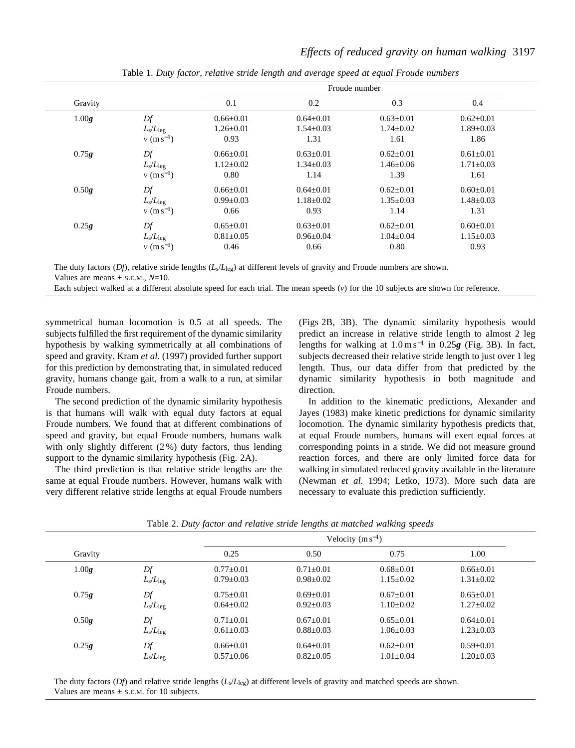|         |                   |                 | Froude number   |                 |                 |  |  |  |
|---------|-------------------|-----------------|-----------------|-----------------|-----------------|--|--|--|
| Gravity |                   | 0.1             | 0.2             | 0.3             | 0.4             |  |  |  |
| 1.00g   | Df                | $0.66 \pm 0.01$ | $0.64 \pm 0.01$ | $0.63 \pm 0.01$ | $0.62 \pm 0.01$ |  |  |  |
|         | $L_s/L_{\rm leg}$ | $1.26 + 0.01$   | $1.54 \pm 0.03$ | $1.74 \pm 0.02$ | $1.89 \pm 0.03$ |  |  |  |
|         | $v (m s^{-1})$    | 0.93            | 1.31            | 1.61            | 1.86            |  |  |  |
| 0.75g   | Df                | $0.66 \pm 0.01$ | $0.63 \pm 0.01$ | $0.62 \pm 0.01$ | $0.61 \pm 0.01$ |  |  |  |
|         | $L_s/L_{\rm leg}$ | $1.12 \pm 0.02$ | $1.34 \pm 0.03$ | $1.46 \pm 0.06$ | $1.71 \pm 0.03$ |  |  |  |
|         | $v (m s^{-1})$    | 0.80            | 1.14            | 1.39            | 1.61            |  |  |  |
| 0.50g   | Df                | $0.66 \pm 0.01$ | $0.64 \pm 0.01$ | $0.62 \pm 0.01$ | $0.60 \pm 0.01$ |  |  |  |
|         | $L_s/L_{\rm leg}$ | $0.99 \pm 0.03$ | $1.18 \pm 0.02$ | $1.35 \pm 0.03$ | $1.48 \pm 0.03$ |  |  |  |
|         | $v (m s^{-1})$    | 0.66            | 0.93            | 1.14            | 1.31            |  |  |  |
| 0.25g   | Df                | $0.65 \pm 0.01$ | $0.63 \pm 0.01$ | $0.62 \pm 0.01$ | $0.60 \pm 0.01$ |  |  |  |
|         | $L_s/L_{\rm leg}$ | $0.81 \pm 0.05$ | $0.96 \pm 0.04$ | $1.04 \pm 0.04$ | $1.15 \pm 0.03$ |  |  |  |
|         | $v (m s^{-1})$    | 0.46            | 0.66            | 0.80            | 0.93            |  |  |  |

Table 1. *Duty factor, relative stride length and average speed at equal Froude numbers*

The duty factors (*Df*), relative stride lengths (*L<sub>s</sub>*/*L*<sub>leg</sub>) at different levels of gravity and Froude numbers are shown. Values are means  $\pm$  s.E.M.,  $N=10$ .

Each subject walked at a different absolute speed for each trial. The mean speeds (*v*) for the 10 subjects are shown for reference.

symmetrical human locomotion is 0.5 at all speeds. The subjects fulfilled the first requirement of the dynamic similarity hypothesis by walking symmetrically at all combinations of speed and gravity. Kram *et al.* (1997) provided further support for this prediction by demonstrating that, in simulated reduced gravity, humans change gait, from a walk to a run, at similar Froude numbers.

The second prediction of the dynamic similarity hypothesis is that humans will walk with equal duty factors at equal Froude numbers. We found that at different combinations of speed and gravity, but equal Froude numbers, humans walk with only slightly different (2 %) duty factors, thus lending support to the dynamic similarity hypothesis (Fig. 2A).

The third prediction is that relative stride lengths are the same at equal Froude numbers. However, humans walk with very different relative stride lengths at equal Froude numbers (Figs 2B, 3B). The dynamic similarity hypothesis would predict an increase in relative stride length to almost 2 leg lengths for walking at 1.0 m s−<sup>1</sup> in 0.25*g* (Fig. 3B). In fact, subjects decreased their relative stride length to just over 1 leg length. Thus, our data differ from that predicted by the dynamic similarity hypothesis in both magnitude and direction.

In addition to the kinematic predictions, Alexander and Jayes (1983) make kinetic predictions for dynamic similarity locomotion. The dynamic similarity hypothesis predicts that, at equal Froude numbers, humans will exert equal forces at corresponding points in a stride. We did not measure ground reaction forces, and there are only limited force data for walking in simulated reduced gravity available in the literature (Newman *et al.* 1994; Letko, 1973). More such data are necessary to evaluate this prediction sufficiently.

|         |                   | Velocity $(m s^{-1})$ |               |                 |                 |  |
|---------|-------------------|-----------------------|---------------|-----------------|-----------------|--|
| Gravity |                   | 0.25                  | 0.50          | 0.75            | 1.00            |  |
| 1.00g   | Df                | $0.77+0.01$           | $0.71 + 0.01$ | $0.68 + 0.01$   | $0.66 + 0.01$   |  |
|         | $L_s/L_{\rm leg}$ | $0.79 \pm 0.03$       | $0.98 + 0.02$ | $1.15 \pm 0.02$ | $1.31 \pm 0.02$ |  |
| 0.75g   | Df                | $0.75 + 0.01$         | $0.69 + 0.01$ | $0.67+0.01$     | $0.65 + 0.01$   |  |
|         | $L_s/L_{\rm leg}$ | $0.64 + 0.02$         | $0.92 + 0.03$ | $1.10 \pm 0.02$ | $1.27 \pm 0.02$ |  |
| 0.50g   | Df                | $0.71 + 0.01$         | $0.67+0.01$   | $0.65 + 0.01$   | $0.64 + 0.01$   |  |
|         | $L_s/L_{\rm leg}$ | $0.61 \pm 0.03$       | $0.88 + 0.03$ | $1.06 \pm 0.03$ | $1.23 \pm 0.03$ |  |
| 0.25g   | Df                | $0.66 + 0.01$         | $0.64 + 0.01$ | $0.62+0.01$     | $0.59 + 0.01$   |  |
|         | $L_s/L_{\rm leg}$ | $0.57 \pm 0.06$       | $0.82+0.05$   | $1.01 \pm 0.04$ | $1.20 \pm 0.03$ |  |

Table 2. *Duty factor and relative stride lengths at matched walking speeds*

The duty factors (*Df*) and relative stride lengths (*L*s/*L*leg) at different levels of gravity and matched speeds are shown. Values are means  $\pm$  s.E.M. for 10 subjects.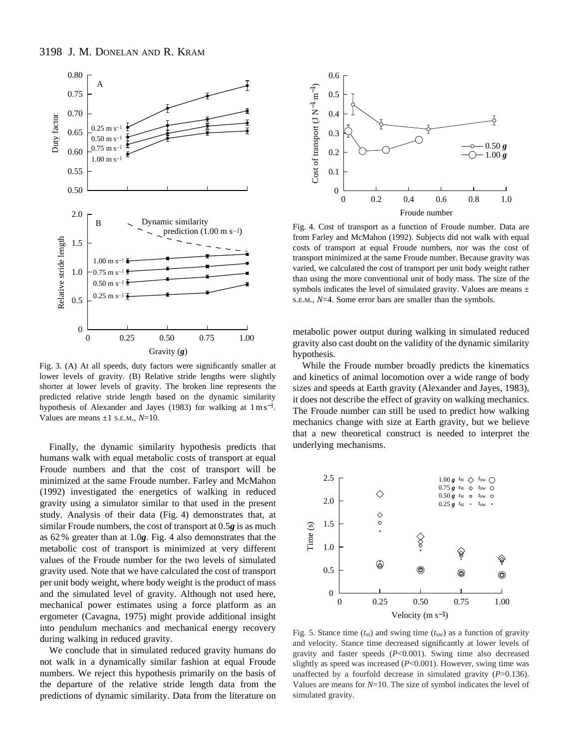

Fig. 3. (A) At all speeds, duty factors were significantly smaller at lower levels of gravity. (B) Relative stride lengths were slightly shorter at lower levels of gravity. The broken line represents the predicted relative stride length based on the dynamic similarity hypothesis of Alexander and Jayes (1983) for walking at  $1 \text{ m s}^{-1}$ . Values are means ±1 S.E.M., *N*=10.

Finally, the dynamic similarity hypothesis predicts that humans walk with equal metabolic costs of transport at equal Froude numbers and that the cost of transport will be minimized at the same Froude number. Farley and McMahon (1992) investigated the energetics of walking in reduced gravity using a simulator similar to that used in the present study. Analysis of their data (Fig. 4) demonstrates that, at similar Froude numbers, the cost of transport at 0.5*g* is as much as 62 % greater than at 1.0*g*. Fig. 4 also demonstrates that the metabolic cost of transport is minimized at very different values of the Froude number for the two levels of simulated gravity used. Note that we have calculated the cost of transport per unit body weight, where body weight is the product of mass and the simulated level of gravity. Although not used here, mechanical power estimates using a force platform as an ergometer (Cavagna, 1975) might provide additional insight into pendulum mechanics and mechanical energy recovery during walking in reduced gravity.

We conclude that in simulated reduced gravity humans do not walk in a dynamically similar fashion at equal Froude numbers. We reject this hypothesis primarily on the basis of the departure of the relative stride length data from the predictions of dynamic similarity. Data from the literature on



Fig. 4. Cost of transport as a function of Froude number. Data are from Farley and McMahon (1992). Subjects did not walk with equal costs of transport at equal Froude numbers, nor was the cost of transport minimized at the same Froude number. Because gravity was varied, we calculated the cost of transport per unit body weight rather than using the more conventional unit of body mass. The size of the symbols indicates the level of simulated gravity. Values are means  $\pm$ S.E.M., *N*=4. Some error bars are smaller than the symbols.

metabolic power output during walking in simulated reduced gravity also cast doubt on the validity of the dynamic similarity hypothesis.

While the Froude number broadly predicts the kinematics and kinetics of animal locomotion over a wide range of body sizes and speeds at Earth gravity (Alexander and Jayes, 1983), it does not describe the effect of gravity on walking mechanics. The Froude number can still be used to predict how walking mechanics change with size at Earth gravity, but we believe that a new theoretical construct is needed to interpret the underlying mechanisms.



Fig. 5. Stance time  $(t_{st})$  and swing time  $(t_{sw})$  as a function of gravity and velocity. Stance time decreased significantly at lower levels of gravity and faster speeds (*P*<0.001). Swing time also decreased slightly as speed was increased (*P*<0.001). However, swing time was unaffected by a fourfold decrease in simulated gravity (*P*=0.136). Values are means for  $N=10$ . The size of symbol indicates the level of simulated gravity.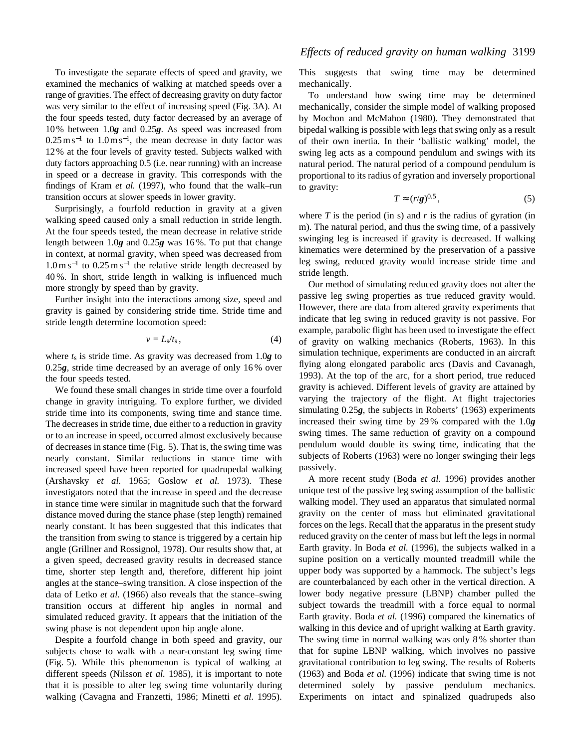To investigate the separate effects of speed and gravity, we examined the mechanics of walking at matched speeds over a range of gravities. The effect of decreasing gravity on duty factor was very similar to the effect of increasing speed (Fig. 3A). At the four speeds tested, duty factor decreased by an average of 10 % between 1.0*g* and 0.25*g*. As speed was increased from  $0.25 \text{ m s}^{-1}$  to  $1.0 \text{ m s}^{-1}$ , the mean decrease in duty factor was 12 % at the four levels of gravity tested. Subjects walked with duty factors approaching 0.5 (i.e. near running) with an increase in speed or a decrease in gravity. This corresponds with the findings of Kram *et al.* (1997), who found that the walk–run transition occurs at slower speeds in lower gravity.

Surprisingly, a fourfold reduction in gravity at a given walking speed caused only a small reduction in stride length. At the four speeds tested, the mean decrease in relative stride length between 1.0*g* and 0.25*g* was 16 %. To put that change in context, at normal gravity, when speed was decreased from  $1.0 \text{ m s}^{-1}$  to  $0.25 \text{ m s}^{-1}$  the relative stride length decreased by 40 %. In short, stride length in walking is influenced much more strongly by speed than by gravity.

Further insight into the interactions among size, speed and gravity is gained by considering stride time. Stride time and stride length determine locomotion speed:

$$
v = L_s / t_s, \qquad (4)
$$

where *t*s is stride time. As gravity was decreased from 1.0*g* to 0.25*g*, stride time decreased by an average of only 16 % over the four speeds tested.

We found these small changes in stride time over a fourfold change in gravity intriguing. To explore further, we divided stride time into its components, swing time and stance time. The decreases in stride time, due either to a reduction in gravity or to an increase in speed, occurred almost exclusively because of decreases in stance time (Fig. 5). That is, the swing time was nearly constant. Similar reductions in stance time with increased speed have been reported for quadrupedal walking (Arshavsky *et al.* 1965; Goslow *et al.* 1973). These investigators noted that the increase in speed and the decrease in stance time were similar in magnitude such that the forward distance moved during the stance phase (step length) remained nearly constant. It has been suggested that this indicates that the transition from swing to stance is triggered by a certain hip angle (Grillner and Rossignol, 1978). Our results show that, at a given speed, decreased gravity results in decreased stance time, shorter step length and, therefore, different hip joint angles at the stance–swing transition. A close inspection of the data of Letko *et al.* (1966) also reveals that the stance–swing transition occurs at different hip angles in normal and simulated reduced gravity. It appears that the initiation of the swing phase is not dependent upon hip angle alone.

Despite a fourfold change in both speed and gravity, our subjects chose to walk with a near-constant leg swing time (Fig. 5). While this phenomenon is typical of walking at different speeds (Nilsson *et al.* 1985), it is important to note that it is possible to alter leg swing time voluntarily during walking (Cavagna and Franzetti, 1986; Minetti *et al.* 1995). This suggests that swing time may be determined mechanically.

To understand how swing time may be determined mechanically, consider the simple model of walking proposed by Mochon and McMahon (1980). They demonstrated that bipedal walking is possible with legs that swing only as a result of their own inertia. In their 'ballistic walking' model, the swing leg acts as a compound pendulum and swings with its natural period. The natural period of a compound pendulum is proportional to its radius of gyration and inversely proportional to gravity:

$$
T \approx (r/g)^{0.5},\tag{5}
$$

where  $T$  is the period (in s) and  $r$  is the radius of gyration (in m). The natural period, and thus the swing time, of a passively swinging leg is increased if gravity is decreased. If walking kinematics were determined by the preservation of a passive leg swing, reduced gravity would increase stride time and stride length.

Our method of simulating reduced gravity does not alter the passive leg swing properties as true reduced gravity would. However, there are data from altered gravity experiments that indicate that leg swing in reduced gravity is not passive. For example, parabolic flight has been used to investigate the effect of gravity on walking mechanics (Roberts, 1963). In this simulation technique, experiments are conducted in an aircraft flying along elongated parabolic arcs (Davis and Cavanagh, 1993). At the top of the arc, for a short period, true reduced gravity is achieved. Different levels of gravity are attained by varying the trajectory of the flight. At flight trajectories simulating 0.25*g*, the subjects in Roberts' (1963) experiments increased their swing time by 29 % compared with the 1.0*g* swing times. The same reduction of gravity on a compound pendulum would double its swing time, indicating that the subjects of Roberts (1963) were no longer swinging their legs passively.

A more recent study (Boda *et al.* 1996) provides another unique test of the passive leg swing assumption of the ballistic walking model. They used an apparatus that simulated normal gravity on the center of mass but eliminated gravitational forces on the legs. Recall that the apparatus in the present study reduced gravity on the center of mass but left the legs in normal Earth gravity. In Boda *et al.* (1996), the subjects walked in a supine position on a vertically mounted treadmill while the upper body was supported by a hammock. The subject's legs are counterbalanced by each other in the vertical direction. A lower body negative pressure (LBNP) chamber pulled the subject towards the treadmill with a force equal to normal Earth gravity. Boda *et al.* (1996) compared the kinematics of walking in this device and of upright walking at Earth gravity. The swing time in normal walking was only 8 % shorter than that for supine LBNP walking, which involves no passive gravitational contribution to leg swing. The results of Roberts (1963) and Boda *et al.* (1996) indicate that swing time is not determined solely by passive pendulum mechanics. Experiments on intact and spinalized quadrupeds also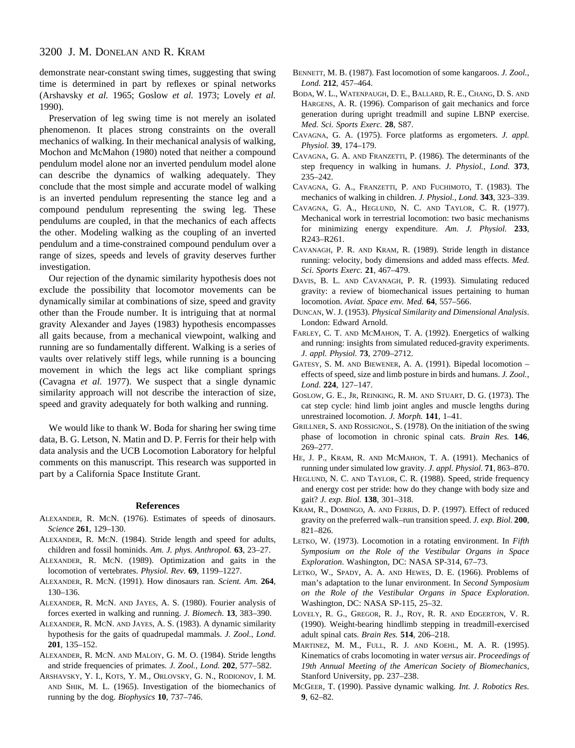demonstrate near-constant swing times, suggesting that swing time is determined in part by reflexes or spinal networks (Arshavsky *et al.* 1965; Goslow *et al.* 1973; Lovely *et al.* 1990).

Preservation of leg swing time is not merely an isolated phenomenon. It places strong constraints on the overall mechanics of walking. In their mechanical analysis of walking, Mochon and McMahon (1980) noted that neither a compound pendulum model alone nor an inverted pendulum model alone can describe the dynamics of walking adequately. They conclude that the most simple and accurate model of walking is an inverted pendulum representing the stance leg and a compound pendulum representing the swing leg. These pendulums are coupled, in that the mechanics of each affects the other. Modeling walking as the coupling of an inverted pendulum and a time-constrained compound pendulum over a range of sizes, speeds and levels of gravity deserves further investigation.

Our rejection of the dynamic similarity hypothesis does not exclude the possibility that locomotor movements can be dynamically similar at combinations of size, speed and gravity other than the Froude number. It is intriguing that at normal gravity Alexander and Jayes (1983) hypothesis encompasses all gaits because, from a mechanical viewpoint, walking and running are so fundamentally different. Walking is a series of vaults over relatively stiff legs, while running is a bouncing movement in which the legs act like compliant springs (Cavagna *et al.* 1977). We suspect that a single dynamic similarity approach will not describe the interaction of size, speed and gravity adequately for both walking and running.

We would like to thank W. Boda for sharing her swing time data, B. G. Letson, N. Matin and D. P. Ferris for their help with data analysis and the UCB Locomotion Laboratory for helpful comments on this manuscript. This research was supported in part by a California Space Institute Grant.

#### **References**

- ALEXANDER, R. MCN. (1976). Estimates of speeds of dinosaurs. *Science* **261**, 129–130.
- ALEXANDER, R. MCN. (1984). Stride length and speed for adults, children and fossil hominids. *Am. J. phys. Anthropol.* **63**, 23–27.
- ALEXANDER, R. MCN. (1989). Optimization and gaits in the locomotion of vertebrates. *Physiol. Rev.* **69**, 1199–1227.
- ALEXANDER, R. MCN. (1991). How dinosaurs ran*. Scient. Am.* **264**, 130–136.
- ALEXANDER, R. MCN. AND JAYES, A. S. (1980). Fourier analysis of forces exerted in walking and running. *J. Biomech.* **13**, 383–390.
- ALEXANDER, R. MCN. AND JAYES, A. S. (1983). A dynamic similarity hypothesis for the gaits of quadrupedal mammals. *J. Zool.*, *Lond*. **201**, 135–152.
- ALEXANDER, R. MCN. AND MALOIY, G. M. O. (1984). Stride lengths and stride frequencies of primates. *J. Zool., Lond.* **202**, 577–582.
- ARSHAVSKY, Y. I., KOTS, Y. M., ORLOVSKY, G. N., RODIONOV, I. M. AND SHIK, M. L. (1965). Investigation of the biomechanics of running by the dog. *Biophysics* **10**, 737–746.
- BENNETT, M. B. (1987). Fast locomotion of some kangaroos. *J. Zool., Lond.* **212**, 457–464.
- BODA, W. L., WATENPAUGH, D. E., BALLARD, R. E., CHANG, D. S. AND HARGENS, A. R. (1996). Comparison of gait mechanics and force generation during upright treadmill and supine LBNP exercise. *Med. Sci. Sports Exerc.* **28**, S87.
- CAVAGNA, G. A. (1975). Force platforms as ergometers. *J. appl. Physiol.* **39**, 174–179.
- CAVAGNA, G. A. AND FRANZETTI, P. (1986). The determinants of the step frequency in walking in humans. *J. Physiol., Lond.* **373**, 235–242.
- CAVAGNA, G. A., FRANZETTI, P. AND FUCHIMOTO, T. (1983). The mechanics of walking in children. *J. Physiol., Lond.* **343**, 323–339.
- CAVAGNA, G. A., HEGLUND, N. C. AND TAYLOR, C. R. (1977). Mechanical work in terrestrial locomotion: two basic mechanisms for minimizing energy expenditure. *Am. J. Physiol.* **233**, R243–R261.
- CAVANAGH, P. R. AND KRAM, R. (1989). Stride length in distance running: velocity, body dimensions and added mass effects. *Med. Sci. Sports Exerc.* **21**, 467–479.
- DAVIS, B. L. AND CAVANAGH, P. R. (1993). Simulating reduced gravity: a review of biomechanical issues pertaining to human locomotion. *Aviat. Space env. Med.* **64**, 557–566.
- DUNCAN, W. J. (1953). *Physical Similarity and Dimensional Analysis*. London: Edward Arnold.
- FARLEY, C. T. AND MCMAHON, T. A. (1992). Energetics of walking and running: insights from simulated reduced-gravity experiments. *J. appl. Physiol.* **73**, 2709–2712.
- GATESY, S. M. AND BIEWENER, A. A. (1991). Bipedal locomotion effects of speed, size and limb posture in birds and humans. *J. Zool., Lond*. **224**, 127–147.
- GOSLOW, G. E., JR, REINKING, R. M. AND STUART, D. G. (1973). The cat step cycle: hind limb joint angles and muscle lengths during unrestrained locomotion. *J. Morph.* **141**, 1–41.
- GRILLNER, S. AND ROSSIGNOL, S. (1978). On the initiation of the swing phase of locomotion in chronic spinal cats. *Brain Res.* **146**, 269–277.
- HE, J. P., KRAM, R. AND MCMAHON, T. A. (1991). Mechanics of running under simulated low gravity. *J. appl. Physiol.* **71**, 863–870.
- HEGLUND, N. C. AND TAYLOR, C. R. (1988). Speed, stride frequency and energy cost per stride: how do they change with body size and gait? *J. exp. Biol.* **138**, 301–318.
- KRAM, R., DOMINGO, A. AND FERRIS, D. P. (1997). Effect of reduced gravity on the preferred walk–run transition speed. *J. exp. Biol.* **200**, 821–826.
- LETKO, W. (1973). Locomotion in a rotating environment. In *Fifth Symposium on the Role of the Vestibular Organs in Space Exploration*. Washington, DC: NASA SP-314, 67–73.
- LETKO, W., SPADY, A. A. AND HEWES, D. E. (1966). Problems of man's adaptation to the lunar environment. In *Second Symposium on the Role of the Vestibular Organs in Space Exploration*. Washington, DC: NASA SP-115, 25–32.
- LOVELY, R. G., GREGOR, R. J., ROY, R. R. AND EDGERTON, V. R. (1990). Weight-bearing hindlimb stepping in treadmill-exercised adult spinal cats. *Brain Res.* **514**, 206–218.
- MARTINEZ, M. M., FULL, R. J. AND KOEHL, M. A. R. (1995). Kinematics of crabs locomoting in water *versus* air. *Proceedings of 19th Annual Meeting of the American Society of Biomechanics*, Stanford University, pp. 237–238.
- MCGEER, T. (1990). Passive dynamic walking*. Int. J. Robotics Res.* **9**, 62–82.